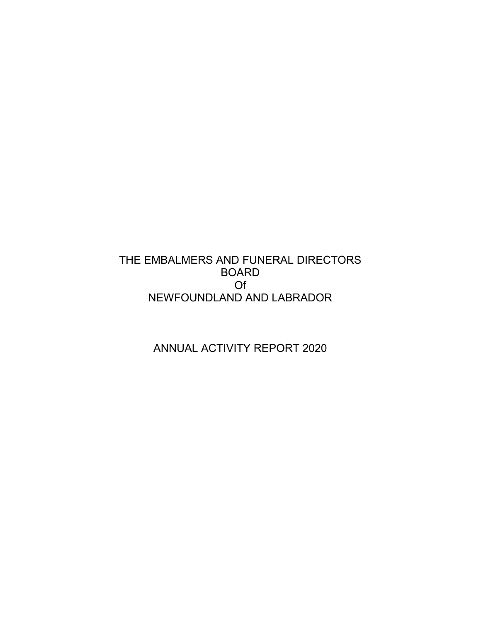# THE EMBALMERS AND FUNERAL DIRECTORS BOARD Of NEWFOUNDLAND AND LABRADOR

ANNUAL ACTIVITY REPORT 2020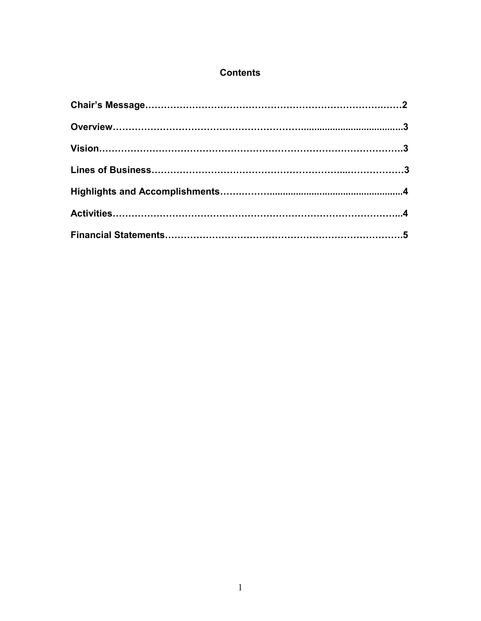## **Contents**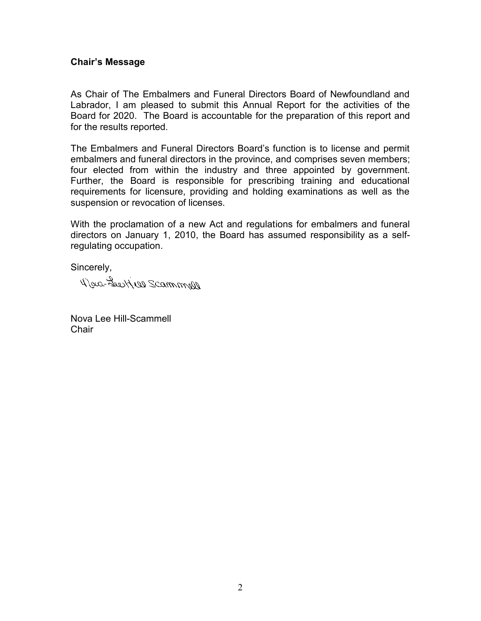#### **Chair's Message**

As Chair of The Embalmers and Funeral Directors Board of Newfoundland and Labrador, I am pleased to submit this Annual Report for the activities of the Board for 2020. The Board is accountable for the preparation of this report and for the results reported.

The Embalmers and Funeral Directors Board's function is to license and permit embalmers and funeral directors in the province, and comprises seven members; four elected from within the industry and three appointed by government. Further, the Board is responsible for prescribing training and educational requirements for licensure, providing and holding examinations as well as the suspension or revocation of licenses.

With the proclamation of a new Act and regulations for embalmers and funeral directors on January 1, 2010, the Board has assumed responsibility as a selfregulating occupation.

Sincerely,

New Seepter Scammar

Nova Lee Hill-Scammell **Chair**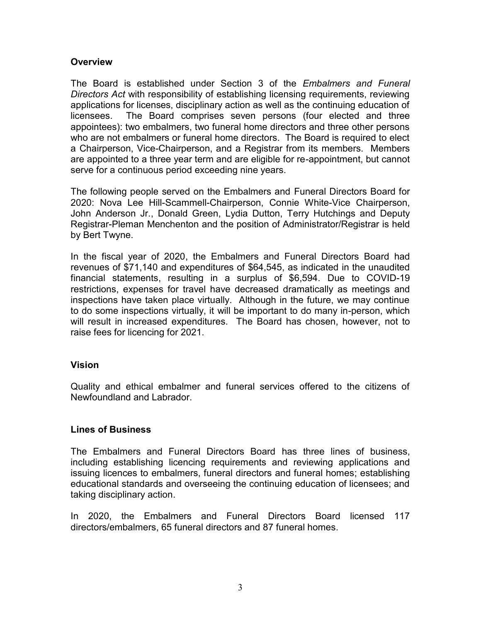#### **Overview**

The Board is established under Section 3 of the *Embalmers and Funeral Directors Act* with responsibility of establishing licensing requirements, reviewing applications for licenses, disciplinary action as well as the continuing education of licensees. The Board comprises seven persons (four elected and three appointees): two embalmers, two funeral home directors and three other persons who are not embalmers or funeral home directors. The Board is required to elect a Chairperson, Vice-Chairperson, and a Registrar from its members. Members are appointed to a three year term and are eligible for re-appointment, but cannot serve for a continuous period exceeding nine years.

The following people served on the Embalmers and Funeral Directors Board for 2020: Nova Lee Hill-Scammell-Chairperson, Connie White-Vice Chairperson, John Anderson Jr., Donald Green, Lydia Dutton, Terry Hutchings and Deputy Registrar-Pleman Menchenton and the position of Administrator/Registrar is held by Bert Twyne.

In the fiscal year of 2020, the Embalmers and Funeral Directors Board had revenues of \$71,140 and expenditures of \$64,545, as indicated in the unaudited financial statements, resulting in a surplus of \$6,594. Due to COVID-19 restrictions, expenses for travel have decreased dramatically as meetings and inspections have taken place virtually. Although in the future, we may continue to do some inspections virtually, it will be important to do many in-person, which will result in increased expenditures. The Board has chosen, however, not to raise fees for licencing for 2021.

#### **Vision**

Quality and ethical embalmer and funeral services offered to the citizens of Newfoundland and Labrador.

### **Lines of Business**

The Embalmers and Funeral Directors Board has three lines of business, including establishing licencing requirements and reviewing applications and issuing licences to embalmers, funeral directors and funeral homes; establishing educational standards and overseeing the continuing education of licensees; and taking disciplinary action.

In 2020, the Embalmers and Funeral Directors Board licensed 117 directors/embalmers, 65 funeral directors and 87 funeral homes.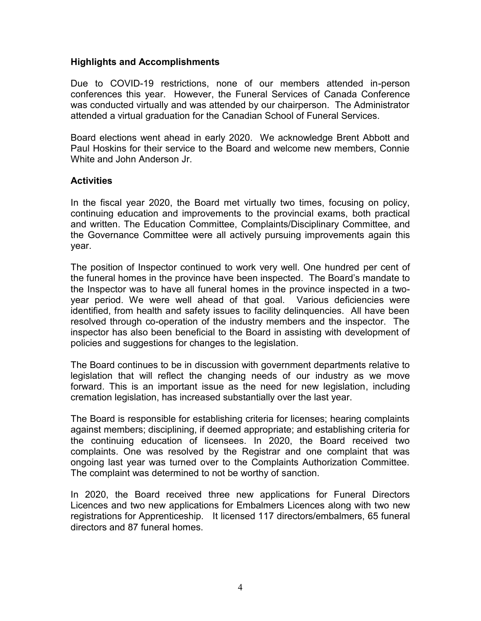#### **Highlights and Accomplishments**

Due to COVID-19 restrictions, none of our members attended in-person conferences this year. However, the Funeral Services of Canada Conference was conducted virtually and was attended by our chairperson. The Administrator attended a virtual graduation for the Canadian School of Funeral Services.

Board elections went ahead in early 2020. We acknowledge Brent Abbott and Paul Hoskins for their service to the Board and welcome new members, Connie White and John Anderson Jr.

#### **Activities**

In the fiscal year 2020, the Board met virtually two times, focusing on policy, continuing education and improvements to the provincial exams, both practical and written. The Education Committee, Complaints/Disciplinary Committee, and the Governance Committee were all actively pursuing improvements again this year.

The position of Inspector continued to work very well. One hundred per cent of the funeral homes in the province have been inspected. The Board's mandate to the Inspector was to have all funeral homes in the province inspected in a two year period. We were well ahead of that goal. Various deficiencies were identified, from health and safety issues to facility delinquencies. All have been resolved through co-operation of the industry members and the inspector. The inspector has also been beneficial to the Board in assisting with development of policies and suggestions for changes to the legislation.

The Board continues to be in discussion with government departments relative to legislation that will reflect the changing needs of our industry as we move forward. This is an important issue as the need for new legislation, including cremation legislation, has increased substantially over the last year.

The Board is responsible for establishing criteria for licenses; hearing complaints against members; disciplining, if deemed appropriate; and establishing criteria for the continuing education of licensees. In 2020, the Board received two complaints. One was resolved by the Registrar and one complaint that was ongoing last year was turned over to the Complaints Authorization Committee. The complaint was determined to not be worthy of sanction.

In 2020, the Board received three new applications for Funeral Directors Licences and two new applications for Embalmers Licences along with two new registrations for Apprenticeship. It licensed 117 directors/embalmers, 65 funeral directors and 87 funeral homes.